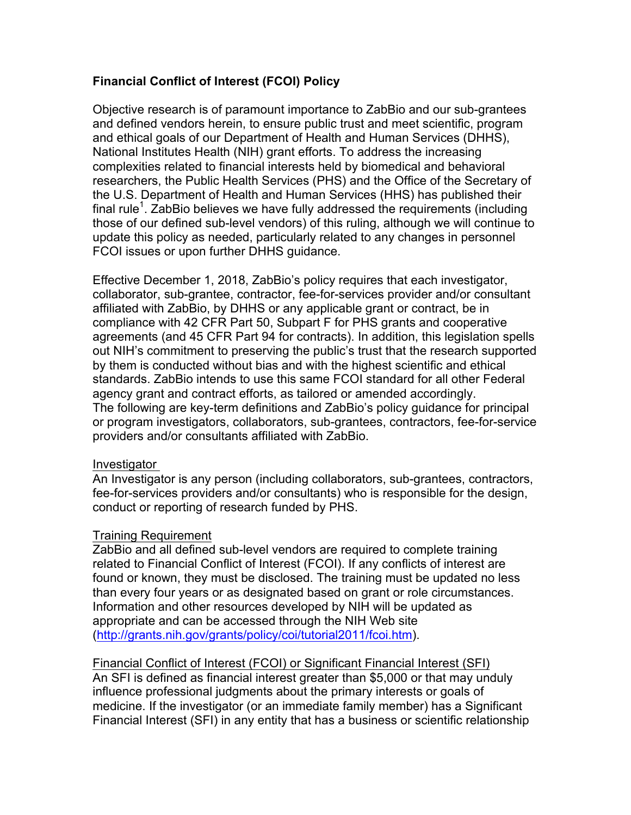# **Financial Conflict of Interest (FCOI) Policy**

Objective research is of paramount importance to ZabBio and our sub-grantees and defined vendors herein, to ensure public trust and meet scientific, program and ethical goals of our Department of Health and Human Services (DHHS), National Institutes Health (NIH) grant efforts. To address the increasing complexities related to financial interests held by biomedical and behavioral researchers, the Public Health Services (PHS) and the Office of the Secretary of the U.S. Department of Health and Human Services (HHS) has published their final rule<sup>1</sup>. ZabBio believes we have fully addressed the requirements (including those of our defined sub-level vendors) of this ruling, although we will continue to update this policy as needed, particularly related to any changes in personnel FCOI issues or upon further DHHS guidance.

Effective December 1, 2018, ZabBio's policy requires that each investigator, collaborator, sub-grantee, contractor, fee-for-services provider and/or consultant affiliated with ZabBio, by DHHS or any applicable grant or contract, be in compliance with 42 CFR Part 50, Subpart F for PHS grants and cooperative agreements (and 45 CFR Part 94 for contracts). In addition, this legislation spells out NIH's commitment to preserving the public's trust that the research supported by them is conducted without bias and with the highest scientific and ethical standards. ZabBio intends to use this same FCOI standard for all other Federal agency grant and contract efforts, as tailored or amended accordingly. The following are key-term definitions and ZabBio's policy guidance for principal or program investigators, collaborators, sub-grantees, contractors, fee-for-service providers and/or consultants affiliated with ZabBio.

## Investigator

An Investigator is any person (including collaborators, sub-grantees, contractors, fee-for-services providers and/or consultants) who is responsible for the design, conduct or reporting of research funded by PHS.

## Training Requirement

ZabBio and all defined sub-level vendors are required to complete training related to Financial Conflict of Interest (FCOI). If any conflicts of interest are found or known, they must be disclosed. The training must be updated no less than every four years or as designated based on grant or role circumstances. Information and other resources developed by NIH will be updated as appropriate and can be accessed through the NIH Web site (http://grants.nih.gov/grants/policy/coi/tutorial2011/fcoi.htm).

Financial Conflict of Interest (FCOI) or Significant Financial Interest (SFI) An SFI is defined as financial interest greater than \$5,000 or that may unduly influence professional judgments about the primary interests or goals of medicine. If the investigator (or an immediate family member) has a Significant Financial Interest (SFI) in any entity that has a business or scientific relationship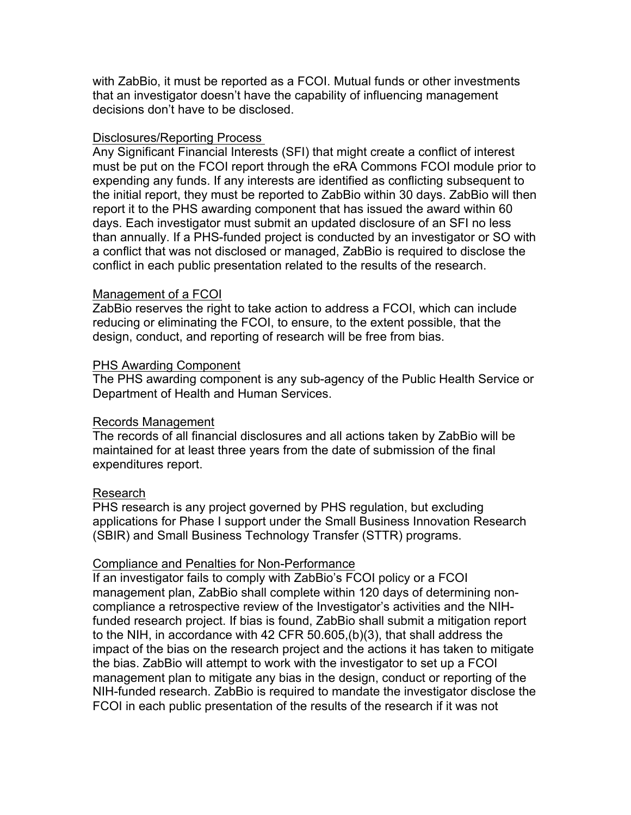with ZabBio, it must be reported as a FCOI. Mutual funds or other investments that an investigator doesn't have the capability of influencing management decisions don't have to be disclosed.

#### Disclosures/Reporting Process

Any Significant Financial Interests (SFI) that might create a conflict of interest must be put on the FCOI report through the eRA Commons FCOI module prior to expending any funds. If any interests are identified as conflicting subsequent to the initial report, they must be reported to ZabBio within 30 days. ZabBio will then report it to the PHS awarding component that has issued the award within 60 days. Each investigator must submit an updated disclosure of an SFI no less than annually. If a PHS-funded project is conducted by an investigator or SO with a conflict that was not disclosed or managed, ZabBio is required to disclose the conflict in each public presentation related to the results of the research.

#### Management of a FCOI

ZabBio reserves the right to take action to address a FCOI, which can include reducing or eliminating the FCOI, to ensure, to the extent possible, that the design, conduct, and reporting of research will be free from bias.

#### PHS Awarding Component

The PHS awarding component is any sub-agency of the Public Health Service or Department of Health and Human Services.

## Records Management

The records of all financial disclosures and all actions taken by ZabBio will be maintained for at least three years from the date of submission of the final expenditures report.

## Research

PHS research is any project governed by PHS regulation, but excluding applications for Phase I support under the Small Business Innovation Research (SBIR) and Small Business Technology Transfer (STTR) programs.

## Compliance and Penalties for Non-Performance

If an investigator fails to comply with ZabBio's FCOI policy or a FCOI management plan, ZabBio shall complete within 120 days of determining noncompliance a retrospective review of the Investigator's activities and the NIHfunded research project. If bias is found, ZabBio shall submit a mitigation report to the NIH, in accordance with 42 CFR 50.605,(b)(3), that shall address the impact of the bias on the research project and the actions it has taken to mitigate the bias. ZabBio will attempt to work with the investigator to set up a FCOI management plan to mitigate any bias in the design, conduct or reporting of the NIH-funded research. ZabBio is required to mandate the investigator disclose the FCOI in each public presentation of the results of the research if it was not